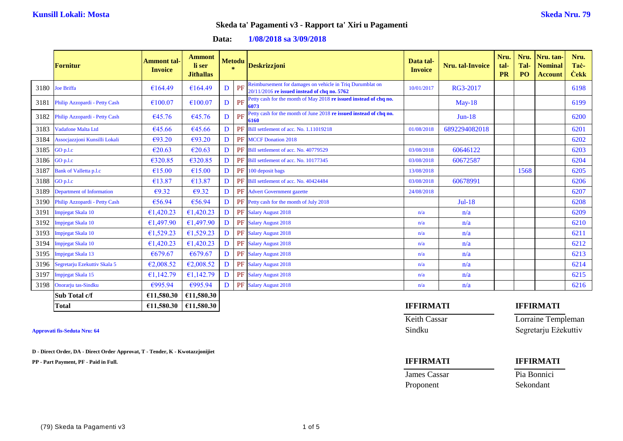**Data: 1/08/2018 sa 3/09/2018**

|      | <b>Fornitur</b>                    | Ammont tal<br><b>Invoice</b> | <b>Ammont</b><br>li ser<br><b>Jithallas</b> |   | <b>Metodu</b><br>$\star$ | <b>Deskrizzjoni</b>                                                                                       | Data tal-<br><b>Invoice</b> | Nru. tal-Invoice | Nru.<br>tal-<br><b>PR</b> | Nru.<br>Tal-<br>PO | Nru. tan-<br><b>Nominal</b><br><b>Account</b> | Nru.<br>Tac-<br><b>Cekk</b> |
|------|------------------------------------|------------------------------|---------------------------------------------|---|--------------------------|-----------------------------------------------------------------------------------------------------------|-----------------------------|------------------|---------------------------|--------------------|-----------------------------------------------|-----------------------------|
|      | 3180 Joe Briffa                    | €164.49                      | €164.49                                     | D | PF                       | Reimbursement for damages on vehicle in Triq Durumblat on<br>20/11/2016 re issued instead of chq no. 5762 | 10/01/2017                  | RG3-2017         |                           |                    |                                               | 6198                        |
|      | 3181 Philip Azzopardi - Petty Cash | €100.07                      | €100.07                                     | D | PF                       | Petty cash for the month of May 2018 re issued instead of chq no.<br>6073                                 |                             | $Mav-18$         |                           |                    |                                               | 6199                        |
| 3182 | Philip Azzopardi - Petty Cash      | €45.76                       | €45.76                                      | D | PF                       | Petty cash for the month of June 2018 re issued instead of chq no.<br>6160                                |                             | $Jun-18$         |                           |                    |                                               | 6200                        |
| 3183 | Vadafone Malta Ltd                 | €45.66                       | €45.66                                      | D |                          | <b>PF</b> Bill settlement of acc. No. 1.11019218                                                          | 01/08/2018                  | 6892294082018    |                           |                    |                                               | 6201                        |
| 3184 | Assocjazzjoni Kunsilli Lokali      | €93.20                       | €93.20                                      | D |                          | PF MCCF Donation 2018                                                                                     |                             |                  |                           |                    |                                               | 6202                        |
| 3185 | GO p.l.c                           | €20.63                       | €20.63                                      | D |                          | PF Bill settlement of acc. No. 40779529                                                                   | 03/08/2018                  | 60646122         |                           |                    |                                               | 6203                        |
|      | 3186 GO p.l.c                      | €320.85                      | €320.85                                     | D |                          | <b>PF</b> Bill settlement of acc. No. 10177345                                                            | 03/08/2018                  | 60672587         |                           |                    |                                               | 6204                        |
| 3187 | <b>Bank of Valletta p.l.c</b>      | €15.00                       | €15.00                                      | D |                          | PF 100 deposit bags                                                                                       | 13/08/2018                  |                  |                           | 1568               |                                               | 6205                        |
|      | 3188 GO p.l.c                      | €13.87                       | €13.87                                      | D |                          | PF Bill settlement of acc. No. 40424484                                                                   | 03/08/2018                  | 60678991         |                           |                    |                                               | 6206                        |
| 3189 | Department of Information          | $\epsilon$ 9.32              | $\epsilon$ 9.32                             | D |                          | PF Advert Government gazette                                                                              | 24/08/2018                  |                  |                           |                    |                                               | 6207                        |
|      | 3190 Philip Azzopardi - Petty Cash | €56.94                       | €56.94                                      | D |                          | PF Petty cash for the month of July 2018                                                                  |                             | $Jul-18$         |                           |                    |                                               | 6208                        |
| 3191 | Impjegat Skala 10                  | €1,420.23                    | €1,420.23                                   | D |                          | PF Salary August 2018                                                                                     | n/a                         | n/a              |                           |                    |                                               | 6209                        |
| 3192 | Impjegat Skala 10                  | €1,497.90                    | €1,497.90                                   | D |                          | PF Salary August 2018                                                                                     | n/a                         | n/a              |                           |                    |                                               | 6210                        |
| 3193 | Impjegat Skala 10                  | €1,529.23                    | €1,529.23                                   | D |                          | PF Salary August 2018                                                                                     | n/a                         | n/a              |                           |                    |                                               | 6211                        |
| 3194 | Impjegat Skala 10                  | €1,420.23                    | €1,420.23                                   | D |                          | PF Salary August 2018                                                                                     | n/a                         | n/a              |                           |                    |                                               | 6212                        |
| 3195 | Impjegat Skala 13                  | €679.67                      | €679.67                                     | D |                          | PF Salary August 2018                                                                                     | n/a                         | n/a              |                           |                    |                                               | 6213                        |
| 3196 | Segretarju Ezekuttiv Skala 5       | €2,008.52                    | €2,008.52                                   | D |                          | PF Salary August 2018                                                                                     | n/a                         | n/a              |                           |                    |                                               | 6214                        |
| 3197 | Impjegat Skala 15                  | €1,142.79                    | €1,142.79                                   | D |                          | PF Salary August 2018                                                                                     | n/a                         | n/a              |                           |                    |                                               | 6215                        |
| 3198 | Onorarju tas-Sindku                | €995.94                      | €995.94                                     | D |                          | PF Salary August 2018                                                                                     | n/a                         | n/a              |                           |                    |                                               | 6216                        |
|      | Sub Total c/f                      | €11,580.30                   | £11,580.30                                  |   |                          |                                                                                                           |                             |                  |                           |                    |                                               |                             |

**D - Direct Order, DA - Direct Order Approvat, T - Tender, K - Kwotazzjonijiet**

**PP - Part Payment, PF - Paid in Full. IFFIRMATI IFFIRMATI**

### **Total €11,580.30 €11,580.30 IFFIRMATI IFFIRMATI**

Keith Cassar Lorraine Templeman

**Approvati fis-Seduta Nru: 64** Sindku Segretarju Eżekuttiv

James Cassar Pia Bonnici Proponent Sekondant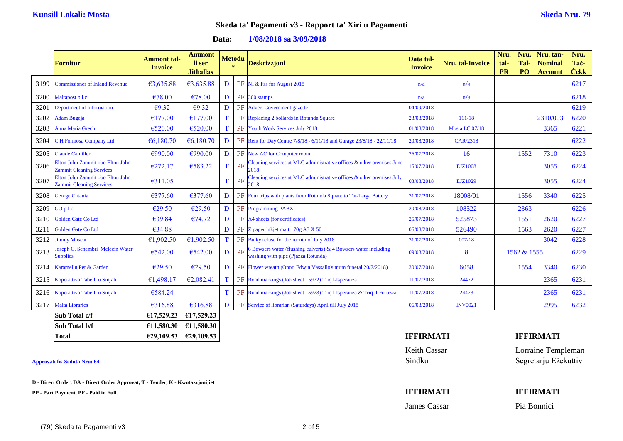| Data: | $1/08/2018$ sa $3/09/2018$ |
|-------|----------------------------|
|-------|----------------------------|

|      | <b>Fornitur</b>                                                     | Ammont tal-<br><b>Invoice</b> | <b>Ammont</b><br>li ser<br><b>Jithallas</b> | <b>Metodu</b><br>$\mathcal{R}$ |    | <b>Deskrizzjoni</b>                                                                                      | Data tal-<br><b>Invoice</b> | <b>Nru.</b> tal-Invoice | Nru.<br>tal-<br><b>PR</b> | Nru.<br>Tal-<br>PO <sub>1</sub> | Nru. tan<br><b>Nominal</b><br><b>Account</b> | Nru.<br>Tac-<br><b>Cekk</b> |
|------|---------------------------------------------------------------------|-------------------------------|---------------------------------------------|--------------------------------|----|----------------------------------------------------------------------------------------------------------|-----------------------------|-------------------------|---------------------------|---------------------------------|----------------------------------------------|-----------------------------|
| 3199 | <b>Commissioner of Inland Revenue</b>                               | €3,635.88                     | €3,635.88                                   | D                              |    | PF NI & Fss for August 2018                                                                              | n/a                         | n/a                     |                           |                                 |                                              | 6217                        |
| 3200 | Maltapost p.l.c                                                     | €78.00                        | €78.00                                      | D                              |    | PF 300 stamps                                                                                            | n/a                         | n/a                     |                           |                                 |                                              | 6218                        |
| 3201 | <b>Department of Information</b>                                    | € $9.32$                      | €9.32                                       | D                              |    | PF Advert Government gazette                                                                             | 04/09/2018                  |                         |                           |                                 |                                              | 6219                        |
| 3202 | Adam Bugeja                                                         | €177.00                       | €177.00                                     |                                |    | PF Replacing 2 bollards in Rotunda Square                                                                | 23/08/2018                  | $111 - 18$              |                           |                                 | 2310/003                                     | 6220                        |
| 3203 | Anna Maria Grech                                                    | €520.00                       | €520.00                                     |                                |    | PF Youth Work Services July 2018                                                                         | 01/08/2018                  | Mosta LC 07/18          |                           |                                 | 3365                                         | 6221                        |
| 3204 | C H Formosa Company Ltd.                                            | € $6,180.70$                  | €6,180.70                                   | D                              |    | PF Rent for Day Centre 7/8/18 - 6/11/18 and Garage 23/8/18 - 22/11/18                                    | 20/08/2018                  | CAR/2318                |                           |                                 |                                              | 6222                        |
| 3205 | Claude Camilleri                                                    | €990.00                       | €990.00                                     | D                              |    | PF New AC for Computer room                                                                              | 26/07/2018                  | 16                      |                           | 1552                            | 7310                                         | 6223                        |
| 3206 | Elton John Zammit obo Elton John<br><b>Zammit Cleaning Services</b> | €272.17                       | €583.22                                     | T                              | PF | Cleaning services at MLC administrative offices & other premises June<br>2018                            | 15/07/2018                  | <b>EJZ1008</b>          |                           |                                 | 3055                                         | 6224                        |
| 3207 | Elton John Zammit obo Elton John<br><b>Zammit Cleaning Services</b> | €311.05                       |                                             | T                              | PF | Cleaning services at MLC administrative offices $\&$ other premises July<br>2018                         | 03/08/2018                  | EJZ1029                 |                           |                                 | 3055                                         | 6224                        |
| 3208 | <b>George Catania</b>                                               | €377.60                       | €377.60                                     | D                              |    | <b>PF</b> Four trips with plants from Rotunda Square to Tat-Targa Battery                                | 31/07/2018                  | 18008/01                |                           | 1556                            | 3340                                         | 6225                        |
| 3209 | GO p.l.c                                                            | €29.50                        | €29.50                                      | D                              |    | <b>PF</b> Programming PABX                                                                               | 20/08/2018                  | 108522                  |                           | 2363                            |                                              | 6226                        |
| 3210 | Golden Gate Co Ltd                                                  | €39.84                        | €74.72                                      | D                              |    | PF A4 sheets (for certificates)                                                                          | 25/07/2018                  | 525873                  |                           | 1551                            | 2620                                         | 6227                        |
| 321  | <b>Golden Gate Co Ltd</b>                                           | €34.88                        |                                             | D                              | PF | Z paper inkjet matt 170g A3 X 50                                                                         | 06/08/2018                  | 526490                  |                           | 1563                            | 2620                                         | 6227                        |
| 3212 | <b>Jimmy Muscat</b>                                                 | €1,902.50                     | €1,902.50                                   |                                |    | <b>PF</b> Bulky refuse for the month of July 2018                                                        | 31/07/2018                  | 007/18                  |                           |                                 | 3042                                         | 6228                        |
| 3213 | Joseph C. Schembri Melecin Water<br><b>Supplies</b>                 | €542.00                       | €542.00                                     | D                              | PF | 6 Bowsers water (flushing culverts) $\&$ 4 Bowsers water including<br>washing with pipe (Pjazza Rotunda) | 09/08/2018                  | 8                       |                           | 1562 & 1555                     |                                              | 6229                        |
| 3214 | Karamellu Pet & Garden                                              | €29.50                        | €29.50                                      | D                              |    | <b>PF</b> Flower wreath (Onor. Edwin Vassallo's mum funeral 20/7/2018)                                   | 30/07/2018                  | 6058                    |                           | 1554                            | 3340                                         | 6230                        |
| 3215 | Koperattiva Tabelli u Sinjali                                       | €1,498.17                     | €2,082.41                                   | T                              |    | PF Road markings (Job sheet 15972) Triq l-Isperanza                                                      | 11/07/2018                  | 24472                   |                           |                                 | 2365                                         | 6231                        |
| 3216 | Koperattiva Tabelli u Sinjali                                       | €584.24                       |                                             | T                              |    | <b>PF</b> Road markings (Job sheet 15973) Triq l-Isperanza & Triq il-Fortizza                            | 11/07/2018                  | 24473                   |                           |                                 | 2365                                         | 6231                        |
| 3217 | <b>Malta Libraries</b>                                              | €316.88                       | €316.88                                     | D                              |    | PF Service of librarian (Saturdays) April till July 2018                                                 | 06/08/2018                  | <b>INV0021</b>          |                           |                                 | 2995                                         | 6232                        |
|      | Sub Total c/f                                                       | £17,529.23                    | €17,529.23                                  |                                |    |                                                                                                          |                             |                         |                           |                                 |                                              |                             |
|      | Sub Total b/f                                                       | £11,580.30                    | £11,580.30                                  |                                |    |                                                                                                          |                             |                         |                           |                                 |                                              |                             |

**D - Direct Order, DA - Direct Order Approvat, T - Tender, K - Kwotazzjonijiet**

**PP - Part Payment, PF - Paid in Full. IFFIRMATI IFFIRMATI**

### **Total €29,109.53 €29,109.53 IFFIRMATI IFFIRMATI**

Keith Cassar **Lorraine Templeman Approvati fis-Seduta Nru: 64** Sindku Segretarju Eżekuttiv

**James Cassar Pia Bonnici**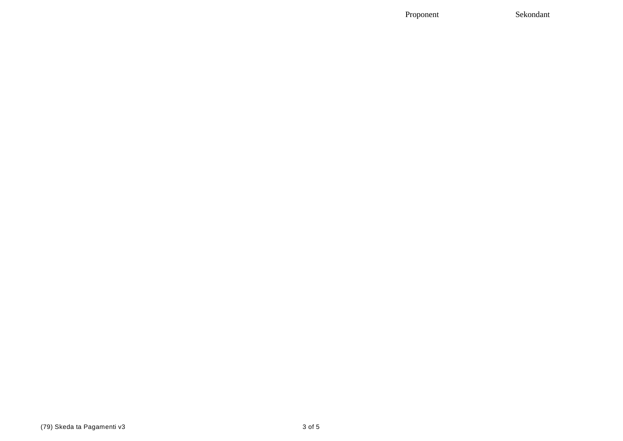Proponent

Sekondant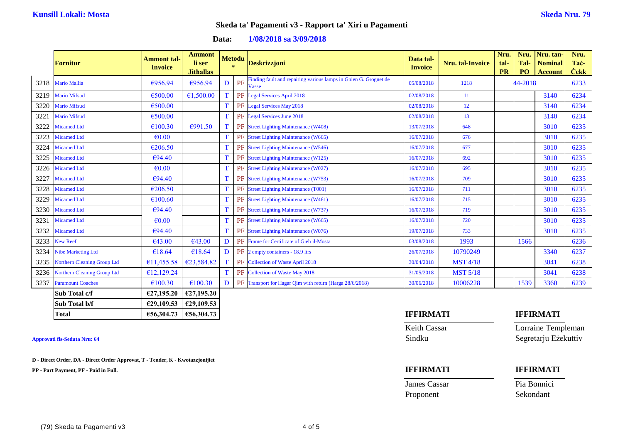| Data: | 1/08/2018 sa 3/09/2018 |  |
|-------|------------------------|--|
|-------|------------------------|--|

|      | <b>Fornitur</b>                    | <b>Ammont tal-</b><br><b>Invoice</b> | <b>Ammont</b><br>li ser<br><b>Jithallas</b> |   | <b>Metodu</b><br>$\mathbf{x}$ | <b>Deskrizzjoni</b>                                                       | Data tal-<br><b>Invoice</b> | <b>Nru.</b> tal-Invoice | Nru.<br>tal-<br><b>PR</b> | Nru.<br>Tal-<br>PO <sub>1</sub> | Nru. tan-<br><b>Nominal</b><br><b>Account</b> | Nru.<br>Tac-<br><b>Cekk</b> |
|------|------------------------------------|--------------------------------------|---------------------------------------------|---|-------------------------------|---------------------------------------------------------------------------|-----------------------------|-------------------------|---------------------------|---------------------------------|-----------------------------------------------|-----------------------------|
| 3218 | <b>Mario Mallia</b>                | €956.94                              | €956.94                                     | D | PF                            | Finding fault and repairing various lamps in Gnien G. Grognet de<br>Vasse | 05/08/2018                  | 1218                    |                           | 44-2018                         |                                               | 6233                        |
| 3219 | <b>Mario Mifsud</b>                | €500.00                              | €1,500.00                                   |   |                               | PF Legal Services April 2018                                              | 02/08/2018                  | 11                      |                           |                                 | 3140                                          | 6234                        |
| 3220 | <b>Mario Mifsud</b>                | €500.00                              |                                             |   |                               | PF Legal Services May 2018                                                | 02/08/2018                  | 12                      |                           |                                 | 3140                                          | 6234                        |
| 3221 | <b>Mario Mifsud</b>                | €500.00                              |                                             |   |                               | PF Legal Services June 2018                                               | 02/08/2018                  | 13 <sup>°</sup>         |                           |                                 | 3140                                          | 6234                        |
| 3222 | <b>Micamed Ltd</b>                 | €100.30                              | €991.50                                     |   |                               | PF Street Lighting Maintenance (W408)                                     | 13/07/2018                  | 648                     |                           |                                 | 3010                                          | 6235                        |
| 3223 | <b>Micamed Ltd</b>                 | $\epsilon$ 0.00                      |                                             |   |                               | <b>PF</b> Street Lighting Maintenance (W665)                              | 16/07/2018                  | 676                     |                           |                                 | 3010                                          | 6235                        |
| 3224 | <b>Micamed Ltd</b>                 | €206.50                              |                                             |   |                               | PF Street Lighting Maintenance (W546)                                     | 16/07/2018                  | 677                     |                           |                                 | 3010                                          | 6235                        |
| 3225 | <b>Micamed Ltd</b>                 | €94.40                               |                                             |   |                               | <b>PF</b> Street Lighting Maintenance (W125)                              | 16/07/2018                  | 692                     |                           |                                 | 3010                                          | 6235                        |
| 3226 | <b>Micamed Ltd</b>                 | $\epsilon$ 0.00                      |                                             |   |                               | PF Street Lighting Maintenance (W027)                                     | 16/07/2018                  | 695                     |                           |                                 | 3010                                          | 6235                        |
| 3227 | <b>Micamed Ltd</b>                 | €94.40                               |                                             |   |                               | PF Street Lighting Maintenance (W753)                                     | 16/07/2018                  | 709                     |                           |                                 | 3010                                          | 6235                        |
| 3228 | <b>Micamed Ltd</b>                 | €206.50                              |                                             |   |                               | PF Street Lighting Maintenance (T001)                                     | 16/07/2018                  | 711                     |                           |                                 | 3010                                          | 6235                        |
| 3229 | <b>Micamed Ltd</b>                 | €100.60                              |                                             |   |                               | PF Street Lighting Maintenance (W461)                                     | 16/07/2018                  | 715                     |                           |                                 | 3010                                          | 6235                        |
| 3230 | <b>Micamed Ltd</b>                 | €94.40                               |                                             |   |                               | <b>PF</b> Street Lighting Maintenance (W737)                              | 16/07/2018                  | 719                     |                           |                                 | 3010                                          | 6235                        |
| 3231 | <b>Micamed Ltd</b>                 | $\epsilon$ <sub>0.00</sub>           |                                             |   |                               | PF Street Lighting Maintenance (W665)                                     | 16/07/2018                  | 720                     |                           |                                 | 3010                                          | 6235                        |
| 3232 | <b>Micamed Ltd</b>                 | €94.40                               |                                             |   |                               | PF Street Lighting Maintenance (W076)                                     | 19/07/2018                  | 733                     |                           |                                 | 3010                                          | 6235                        |
| 3233 | <b>New Reef</b>                    | €43.00                               | €43.00                                      | D |                               | <b>PF</b> Frame for Certificate of Gieh il-Mosta                          | 03/08/2018                  | 1993                    |                           | 1566                            |                                               | 6236                        |
| 3234 | <b>Nibe Marketing Ltd</b>          | €18.64                               | €18.64                                      | D |                               | PF 2 empty containers - 18.9 ltrs                                         | 26/07/2018                  | 10790249                |                           |                                 | 3340                                          | 6237                        |
| 3235 | Northern Cleaning Group Ltd        | €11,455.58                           | €23,584.82                                  |   |                               | PF Collection of Waste April 2018                                         | 30/04/2018                  | <b>MST 4/18</b>         |                           |                                 | 3041                                          | 6238                        |
| 3236 | <b>Northern Cleaning Group Ltd</b> | €12,129.24                           |                                             |   |                               | PF Collection of Waste May 2018                                           | 31/05/2018                  | <b>MST 5/18</b>         |                           |                                 | 3041                                          | 6238                        |
| 3237 | <b>Paramount Coaches</b>           | €100.30                              | €100.30                                     | D |                               | PF Transport for Hagar Qim with return (Harga 28/6/2018)                  | 30/06/2018                  | 10006228                |                           | 1539                            | 3360                                          | 6239                        |
|      | Sub Total c/f                      | £27,195.20                           | £27,195.20                                  |   |                               |                                                                           |                             |                         |                           |                                 |                                               |                             |
|      | Sub Total b/f                      | £29,109.53                           | £29,109.53                                  |   |                               |                                                                           |                             |                         |                           |                                 |                                               |                             |

**Approvati fis-Seduta Nru: 64** Sindku Segretarju Eżekuttiv

**D - Direct Order, DA - Direct Order Approvat, T - Tender, K - Kwotazzjonijiet**

**PP - Part Payment, PF - Paid in Full. IFFIRMATI IFFIRMATI**

# **Total €56,304.73 €56,304.73 IFFIRMATI IFFIRMATI**

Keith Cassar **Lorraine Templeman** 

James Cassar Pia Bonnici Proponent Sekondant